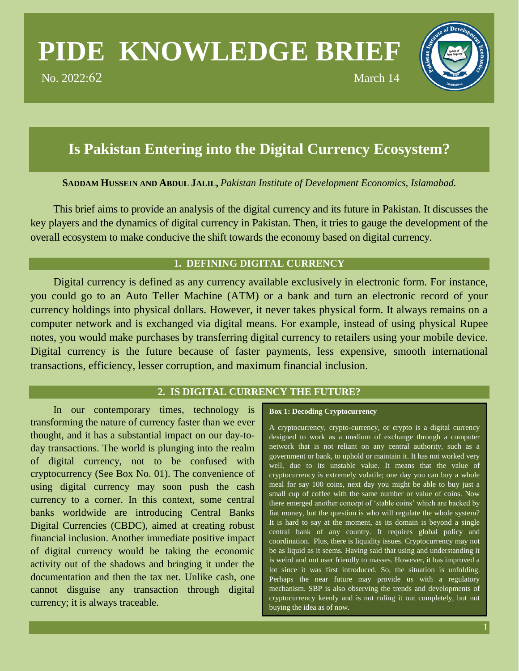# **PIDE KNOWLEDGE BRIEF**

No. 2022:62 March 14



## **Is Pakistan Entering into the Digital Currency Ecosystem?**

**SADDAM HUSSEIN AND ABDUL JALIL,** *Pakistan Institute of Development Economics, Islamabad.*

This brief aims to provide an analysis of the digital currency and its future in Pakistan. It discusses the key players and the dynamics of digital currency in Pakistan. Then, it tries to gauge the development of the overall ecosystem to make conducive the shift towards the economy based on digital currency.

## **1. DEFINING DIGITAL CURRENCY**

Digital currency is defined as any currency available exclusively in electronic form. For instance, you could go to an Auto Teller Machine (ATM) or a bank and turn an electronic record of your currency holdings into physical dollars. However, it never takes physical form. It always remains on a computer network and is exchanged via digital means. For example, instead of using physical Rupee notes, you would make purchases by transferring digital currency to retailers using your mobile device. Digital currency is the future because of faster payments, less expensive, smooth international transactions, efficiency, lesser corruption, and maximum financial inclusion.

## **2. IS DIGITAL CURRENCY THE FUTURE?**

In our contemporary times, technology is transforming the nature of currency faster than we ever thought, and it has a substantial impact on our day-today transactions. The world is plunging into the realm of digital currency, not to be confused with cryptocurrency (See Box No. 01). The convenience of using digital currency may soon push the cash currency to a corner. In this context, some central banks worldwide are introducing Central Banks Digital Currencies (CBDC), aimed at creating robust financial inclusion. Another immediate positive impact of digital currency would be taking the economic activity out of the shadows and bringing it under the documentation and then the tax net. Unlike cash, one cannot disguise any transaction through digital currency; it is always traceable.

#### **Box 1: Decoding Cryptocurrency**

A cryptocurrency, crypto-currency, or crypto is a digital currency designed to work as a medium of exchange through a computer network that is not reliant on any central authority, such as a government or bank, to uphold or maintain it. It has not worked very well, due to its unstable value. It means that the value of cryptocurrency is extremely volatile; one day you can buy a whole meal for say 100 coins, next day you might be able to buy just a small cup of coffee with the same number or value of coins. Now there emerged another concept of 'stable coins' which are backed by fiat money, but the question is who will regulate the whole system? It is hard to say at the moment, as its domain is beyond a single central bank of any country. It requires global policy and coordination. Plus, there is liquidity issues. Cryptocurrency may not be as liquid as it seems. Having said that using and understanding it is weird and not user friendly to masses. However, it has improved a lot since it was first introduced. So, the situation is unfolding. Perhaps the near future may provide us with a regulatory mechanism. SBP is also observing the trends and developments of cryptocurrency keenly and is not ruling it out completely, but not buying the idea as of now.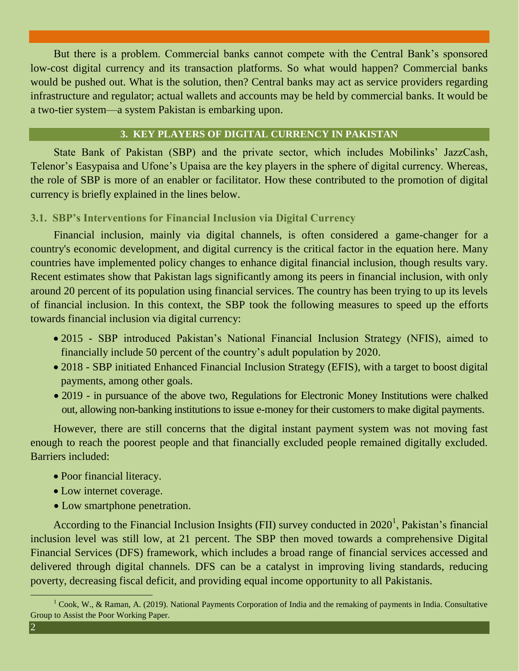But there is a problem. Commercial banks cannot compete with the Central Bank's sponsored low-cost digital currency and its transaction platforms. So what would happen? Commercial banks would be pushed out. What is the solution, then? Central banks may act as service providers regarding infrastructure and regulator; actual wallets and accounts may be held by commercial banks. It would be a two-tier system—a system Pakistan is embarking upon.

## **3. KEY PLAYERS OF DIGITAL CURRENCY IN PAKISTAN**

State Bank of Pakistan (SBP) and the private sector, which includes Mobilinks' JazzCash, Telenor's Easypaisa and Ufone's Upaisa are the key players in the sphere of digital currency. Whereas, the role of SBP is more of an enabler or facilitator. How these contributed to the promotion of digital currency is briefly explained in the lines below.

## **3.1. SBP's Interventions for Financial Inclusion via Digital Currency**

Financial inclusion, mainly via digital channels, is often considered a game-changer for a country's economic development, and digital currency is the critical factor in the equation here. Many countries have implemented policy changes to enhance digital financial inclusion, though results vary. Recent estimates show that Pakistan lags significantly among its peers in financial inclusion, with only around 20 percent of its population using financial services. The country has been trying to up its levels of financial inclusion. In this context, the SBP took the following measures to speed up the efforts towards financial inclusion via digital currency:

- 2015 SBP introduced Pakistan's National Financial Inclusion Strategy (NFIS), aimed to financially include 50 percent of the country's adult population by 2020.
- 2018 SBP initiated Enhanced Financial Inclusion Strategy (EFIS), with a target to boost digital payments, among other goals.
- 2019 in pursuance of the above two, Regulations for Electronic Money Institutions were chalked out, allowing non-banking institutions to issue e-money for their customers to make digital payments.

However, there are still concerns that the digital instant payment system was not moving fast enough to reach the poorest people and that financially excluded people remained digitally excluded. Barriers included:

- Poor financial literacy.
- Low internet coverage.
- Low smartphone penetration.

According to the Financial Inclusion Insights (FII) survey conducted in  $2020<sup>1</sup>$ , Pakistan's financial inclusion level was still low, at 21 percent. The SBP then moved towards a comprehensive Digital Financial Services (DFS) framework, which includes a broad range of financial services accessed and delivered through digital channels. DFS can be a catalyst in improving living standards, reducing poverty, decreasing fiscal deficit, and providing equal income opportunity to all Pakistanis.

 $1^1$  Cook, W., & Raman, A. (2019). National Payments Corporation of India and the remaking of payments in India. Consultative Group to Assist the Poor Working Paper.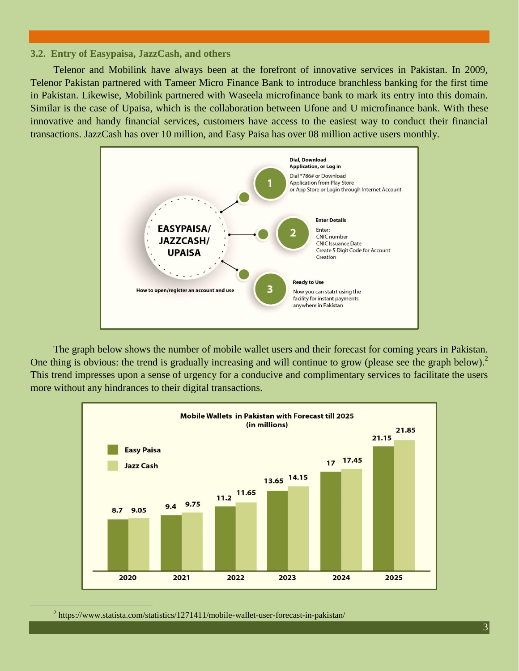#### **3.2. Entry of Easypaisa, JazzCash, and others**

Telenor and Mobilink have always been at the forefront of innovative services in Pakistan. In 2009, Telenor Pakistan partnered with Tameer Micro Finance Bank to introduce branchless banking for the first time in Pakistan. Likewise, Mobilink partnered with Waseela microfinance bank to mark its entry into this domain. Similar is the case of Upaisa, which is the collaboration between Ufone and U microfinance bank. With these innovative and handy financial services, customers have access to the easiest way to conduct their financial transactions. JazzCash has over 10 million, and Easy Paisa has over 08 million active users monthly.



The graph below shows the number of mobile wallet users and their forecast for coming years in Pakistan. One thing is obvious: the trend is gradually increasing and will continue to grow (please see the graph below).<sup>2</sup> This trend impresses upon a sense of urgency for a conducive and complimentary services to facilitate the users more without any hindrances to their digital transactions.



 $2 \text{ https://www.statista.com/statistics/1271411/mobile-wallet-user-forceast-in-pakistan/}$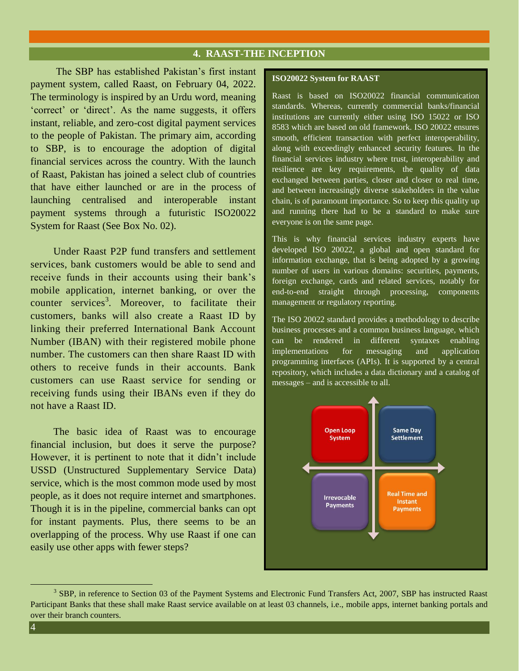## **4. RAAST-THE INCEPTION**

The SBP has established Pakistan's first instant payment system, called Raast, on February 04, 2022. The terminology is inspired by an Urdu word, meaning 'correct' or 'direct'. As the name suggests, it offers instant, reliable, and zero-cost digital payment services to the people of Pakistan. The primary aim, according to SBP, is to encourage the adoption of digital financial services across the country. With the launch of Raast, Pakistan has joined a select club of countries that have either launched or are in the process of launching centralised and interoperable instant payment systems through a futuristic ISO20022 System for Raast (See Box No. 02).

Under Raast P2P fund transfers and settlement services, bank customers would be able to send and receive funds in their accounts using their bank's mobile application, internet banking, or over the counter services<sup>3</sup>. Moreover, to facilitate their customers, banks will also create a Raast ID by linking their preferred International Bank Account Number (IBAN) with their registered mobile phone number. The customers can then share Raast ID with others to receive funds in their accounts. Bank customers can use Raast service for sending or receiving funds using their IBANs even if they do not have a Raast ID.

The basic idea of Raast was to encourage financial inclusion, but does it serve the purpose? However, it is pertinent to note that it didn't include USSD (Unstructured Supplementary Service Data) service, which is the most common mode used by most people, as it does not require internet and smartphones. Though it is in the pipeline, commercial banks can opt for instant payments. Plus, there seems to be an overlapping of the process. Why use Raast if one can easily use other apps with fewer steps?

#### **ISO20022 System for RAAST**

Raast is based on ISO20022 financial communication standards. Whereas, currently commercial banks/financial institutions are currently either using ISO 15022 or ISO 8583 which are based on old framework. ISO 20022 ensures smooth, efficient transaction with perfect interoperability, along with exceedingly enhanced security features. In the financial services industry where trust, interoperability and resilience are key requirements, the quality of data exchanged between parties, closer and closer to real time, and between increasingly diverse stakeholders in the value chain, is of paramount importance. So to keep this quality up and running there had to be a standard to make sure everyone is on the same page.

This is why financial services industry experts have developed ISO 20022, a global and open standard for information exchange, that is being adopted by a growing number of users in various domains: securities, payments, foreign exchange, cards and related services, notably for end-to-end straight through processing, components management or regulatory reporting.

The ISO 20022 standard provides a methodology to describe business processes and a common business language, which can be rendered in different syntaxes enabling implementations for messaging and application programming interfaces (APIs). It is supported by a central repository, which includes a data dictionary and a catalog of messages – and is accessible to all.



<sup>&</sup>lt;sup>3</sup> SBP, in reference to Section 03 of the Payment Systems and Electronic Fund Transfers Act, 2007, SBP has instructed Raast Participant Banks that these shall make Raast service available on at least 03 channels, i.e., mobile apps, internet banking portals and over their branch counters.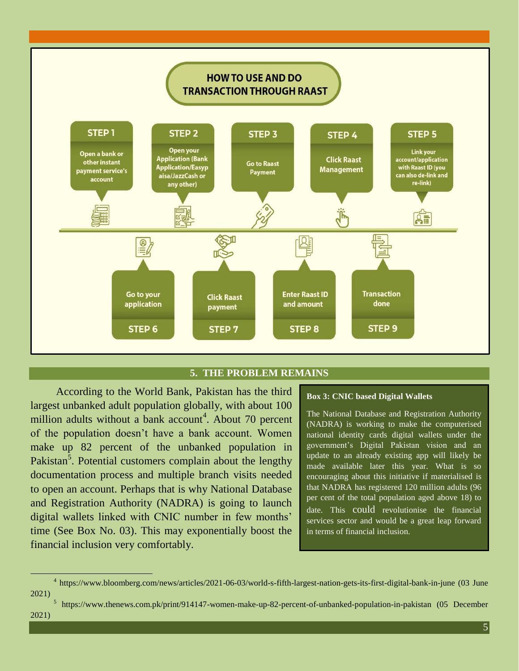

## **5. THE PROBLEM REMAINS**

According to the World Bank, Pakistan has the third largest unbanked adult population globally, with about 100 million adults without a bank account<sup>4</sup>. About 70 percent of the population doesn't have a bank account. Women make up 82 percent of the unbanked population in Pakistan<sup>5</sup>. Potential customers complain about the lengthy documentation process and multiple branch visits needed to open an account. Perhaps that is why National Database and Registration Authority (NADRA) is going to launch digital wallets linked with CNIC number in few months' time (See Box No. 03). This may exponentially boost the financial inclusion very comfortably.

#### **Box 3: CNIC based Digital Wallets**

The National Database and Registration Authority (NADRA) is working to make the computerised national identity cards digital wallets under the government's Digital Pakistan vision and an update to an already existing app will likely be made available later this year. What is so encouraging about this initiative if materialised is that NADRA has registered 120 million adults (96 per cent of the total population aged above 18) to date. This could revolutionise the financial services sector and would be a great leap forward in terms of financial inclusion.

<sup>&</sup>lt;sup>4</sup> https://www.bloomberg.com/news/articles/2021-06-03/world-s-fifth-largest-nation-gets-its-first-digital-bank-in-june (03 June 2021)

<sup>&</sup>lt;sup>5</sup> https://www.thenews.com.pk/print/914147-women-make-up-82-percent-of-unbanked-population-in-pakistan (05 December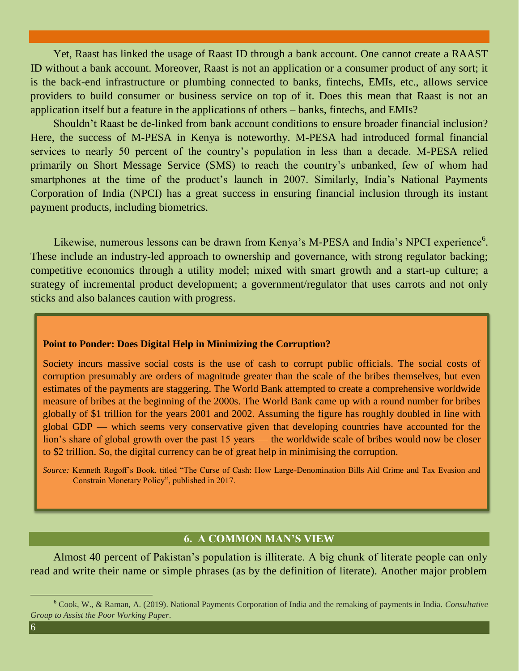Yet, Raast has linked the usage of Raast ID through a bank account. One cannot create a RAAST ID without a bank account. Moreover, Raast is not an application or a consumer product of any sort; it is the back-end infrastructure or plumbing connected to banks, fintechs, EMIs, etc., allows service providers to build consumer or business service on top of it. Does this mean that Raast is not an application itself but a feature in the applications of others – banks, fintechs, and EMIs?

Shouldn't Raast be de-linked from bank account conditions to ensure broader financial inclusion? Here, the success of M-PESA in Kenya is noteworthy. M-PESA had introduced formal financial services to nearly 50 percent of the country's population in less than a decade. M-PESA relied primarily on Short Message Service (SMS) to reach the country's unbanked, few of whom had smartphones at the time of the product's launch in 2007. Similarly, India's National Payments Corporation of India (NPCI) has a great success in ensuring financial inclusion through its instant payment products, including biometrics.

Likewise, numerous lessons can be drawn from Kenya's M-PESA and India's NPCI experience<sup>6</sup>. These include an industry-led approach to ownership and governance, with strong regulator backing; competitive economics through a utility model; mixed with smart growth and a start-up culture; a strategy of incremental product development; a government/regulator that uses carrots and not only sticks and also balances caution with progress.

#### **Point to Ponder: Does Digital Help in Minimizing the Corruption?**

Society incurs massive social costs is the use of cash to corrupt public officials. The social costs of corruption presumably are orders of magnitude greater than the scale of the bribes themselves, but even estimates of the payments are staggering. The World Bank attempted to create a comprehensive worldwide measure of bribes at the beginning of the 2000s. The World Bank came up with a round number for bribes globally of \$1 trillion for the years 2001 and 2002. Assuming the figure has roughly doubled in line with global GDP — which seems very conservative given that developing countries have accounted for the lion's share of global growth over the past 15 years — the worldwide scale of bribes would now be closer to \$2 trillion. So, the digital currency can be of great help in minimising the corruption.

*Source:* Kenneth Rogoff's Book, titled "The Curse of Cash: How Large-Denomination Bills Aid Crime and Tax Evasion and Constrain Monetary Policy", published in 2017.

## **6. A COMMON MAN'S VIEW**

Almost 40 percent of Pakistan's population is illiterate. A big chunk of literate people can only read and write their name or simple phrases (as by the definition of literate). Another major problem

<sup>6</sup> Cook, W., & Raman, A. (2019). National Payments Corporation of India and the remaking of payments in India. *Consultative Group to Assist the Poor Working Paper*.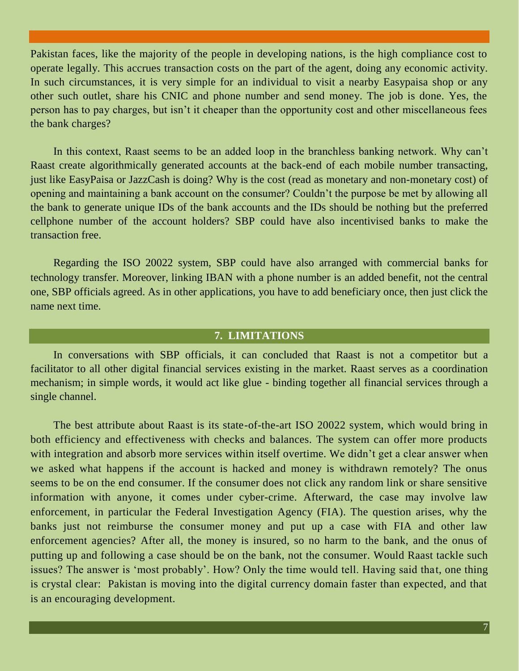Pakistan faces, like the majority of the people in developing nations, is the high compliance cost to operate legally. This accrues transaction costs on the part of the agent, doing any economic activity. In such circumstances, it is very simple for an individual to visit a nearby Easypaisa shop or any other such outlet, share his CNIC and phone number and send money. The job is done. Yes, the person has to pay charges, but isn't it cheaper than the opportunity cost and other miscellaneous fees the bank charges?

In this context, Raast seems to be an added loop in the branchless banking network. Why can't Raast create algorithmically generated accounts at the back-end of each mobile number transacting, just like EasyPaisa or JazzCash is doing? Why is the cost (read as monetary and non-monetary cost) of opening and maintaining a bank account on the consumer? Couldn't the purpose be met by allowing all the bank to generate unique IDs of the bank accounts and the IDs should be nothing but the preferred cellphone number of the account holders? SBP could have also incentivised banks to make the transaction free.

Regarding the ISO 20022 system, SBP could have also arranged with commercial banks for technology transfer. Moreover, linking IBAN with a phone number is an added benefit, not the central one, SBP officials agreed. As in other applications, you have to add beneficiary once, then just click the name next time.

## **7. LIMITATIONS**

In conversations with SBP officials, it can concluded that Raast is not a competitor but a facilitator to all other digital financial services existing in the market. Raast serves as a coordination mechanism; in simple words, it would act like glue - binding together all financial services through a single channel.

The best attribute about Raast is its state-of-the-art ISO 20022 system, which would bring in both efficiency and effectiveness with checks and balances. The system can offer more products with integration and absorb more services within itself overtime. We didn't get a clear answer when we asked what happens if the account is hacked and money is withdrawn remotely? The onus seems to be on the end consumer. If the consumer does not click any random link or share sensitive information with anyone, it comes under cyber-crime. Afterward, the case may involve law enforcement, in particular the Federal Investigation Agency (FIA). The question arises, why the banks just not reimburse the consumer money and put up a case with FIA and other law enforcement agencies? After all, the money is insured, so no harm to the bank, and the onus of putting up and following a case should be on the bank, not the consumer. Would Raast tackle such issues? The answer is 'most probably'. How? Only the time would tell. Having said that, one thing is crystal clear: Pakistan is moving into the digital currency domain faster than expected, and that is an encouraging development.